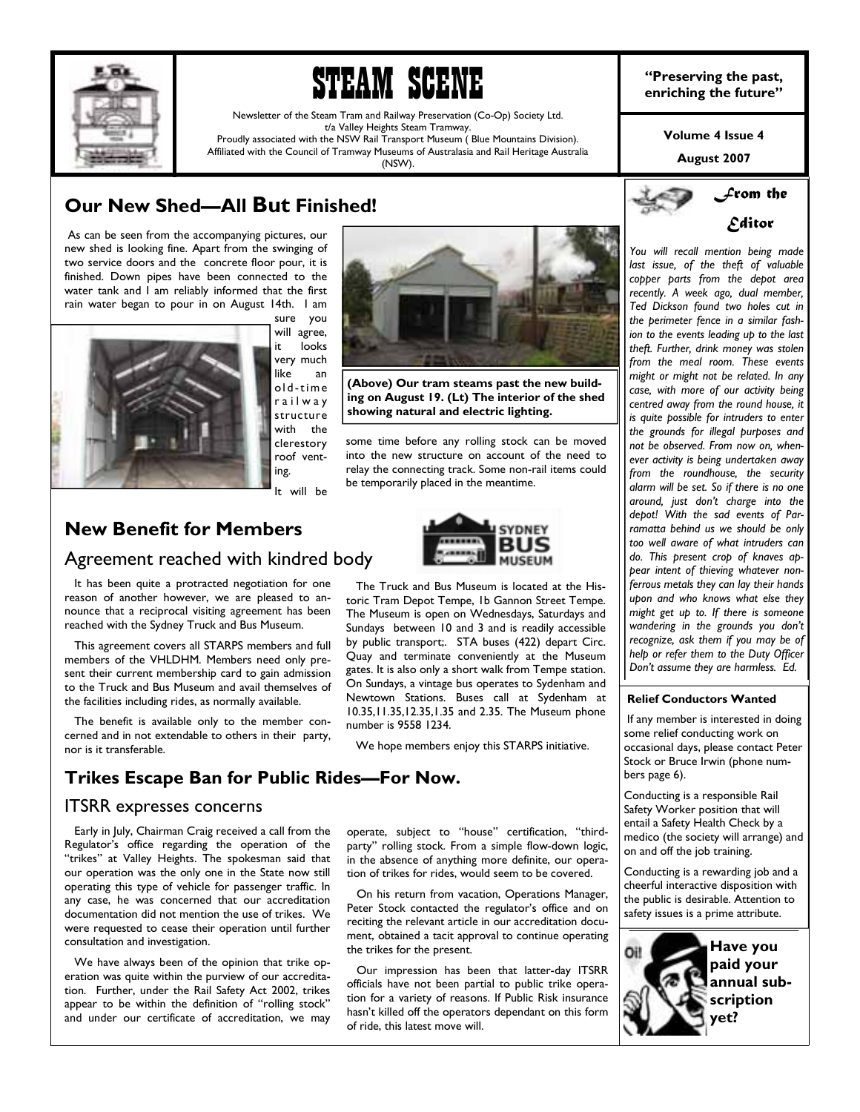

# **STEAM SCENE enriching the past, in EXE SCENE enriching the future**"

Newsletter of the Steam Tram and Railway Preservation (Co-Op) Society Ltd. t/a Valley Heights Steam Tramway. Proudly associated with the NSW Rail Transport Museum ( Blue Mountains Division).

Affiliated with the Council of Tramway Museums of Australasia and Rail Heritage Australia (NSW).

## **Our New Shed-All But Finished!**

 As can be seen from the accompanying pictures, our new shed is looking fine. Apart from the swinging of two service doors and the concrete floor pour, it is finished. Down pipes have been connected to the water tank and I am reliably informed that the first rain water began to pour in on August 14th. I am



sure you will agree, it looks with the

It will be

## **New Benefit for Members**  Agreement reached with kindred body



 This agreement covers all STARPS members and full members of the VHLDHM. Members need only present their current membership card to gain admission to the Truck and Bus Museum and avail themselves of the facilities including rides, as normally available.

 The benefit is available only to the member concerned and in not extendable to others in their party, nor is it transferable.

## **Trikes Escape Ban for Public Rides—For Now.**

#### ITSRR expresses concerns

 Early in July, Chairman Craig received a call from the Regulator's office regarding the operation of the "trikes" at Valley Heights. The spokesman said that our operation was the only one in the State now still operating this type of vehicle for passenger traffic. In any case, he was concerned that our accreditation documentation did not mention the use of trikes. We were requested to cease their operation until further consultation and investigation.

 We have always been of the opinion that trike operation was quite within the purview of our accreditation. Further, under the Rail Safety Act 2002, trikes appear to be within the definition of "rolling stock" and under our certificate of accreditation, we may

operate, subject to "house" certification, "thirdparty" rolling stock. From a simple flow-down logic, in the absence of anything more definite, our operation of trikes for rides, would seem to be covered.

 On his return from vacation, Operations Manager, Peter Stock contacted the regulator's office and on reciting the relevant article in our accreditation document, obtained a tacit approval to continue operating the trikes for the present.

 Our impression has been that latter-day ITSRR officials have not been partial to public trike operation for a variety of reasons. If Public Risk insurance hasn't killed off the operators dependant on this form of ride, this latest move will.

**Volume 4 Issue 4** 

**August 2007** 



*You will recall mention being made last issue, of the theft of valuable copper parts from the depot area recently. A week ago, dual member, Ted Dickson found two holes cut in the perimeter fence in a similar fashion to the events leading up to the last theft. Further, drink money was stolen from the meal room. These events might or might not be related. In any case, with more of our activity being centred away from the round house, it is quite possible for intruders to enter the grounds for illegal purposes and not be observed. From now on, whenever activity is being undertaken away from the roundhouse, the security alarm will be set. So if there is no one around, just donít charge into the depot! With the sad events of Parramatta behind us we should be only too well aware of what intruders can do. This present crop of knaves appear intent of thieving whatever nonferrous metals they can lay their hands upon and who knows what else they might get up to. If there is someone wandering in the grounds you donít recognize, ask them if you may be of help or refer them to the Duty Officer Donít assume they are harmless. Ed.* 

#### **Relief Conductors Wanted**

 If any member is interested in doing some relief conducting work on occasional days, please contact Peter Stock or Bruce Irwin (phone numbers page 6).

Conducting is a responsible Rail Safety Worker position that will entail a Safety Health Check by a medico (the society will arrange) and on and off the job training.

Conducting is a rewarding job and a cheerful interactive disposition with the public is desirable. Attention to safety issues is a prime attribute.



very much like an ol d -t i me r a i l w a y structure clerestory roof venting. some time before any rolling stock can be moved into the new structure on account of the need to relay the connecting track. Some non-rail items could be temporarily placed in the meantime. **(Above) Our tram steams past the new building on August 19. (Lt) The interior of the shed showing natural and electric lighting.** 



The Truck and Bus Museum is located at the His-

by public transport;. STA buses (422) depart Circ. Quay and terminate conveniently at the Museum gates. It is also only a short walk from Tempe station. On Sundays, a vintage bus operates to Sydenham and Newtown Stations. Buses call at Sydenham at 10.35,11.35,12.35,1.35 and 2.35. The Museum phone

We hope members enjoy this STARPS initiative.

number is 9558 1234.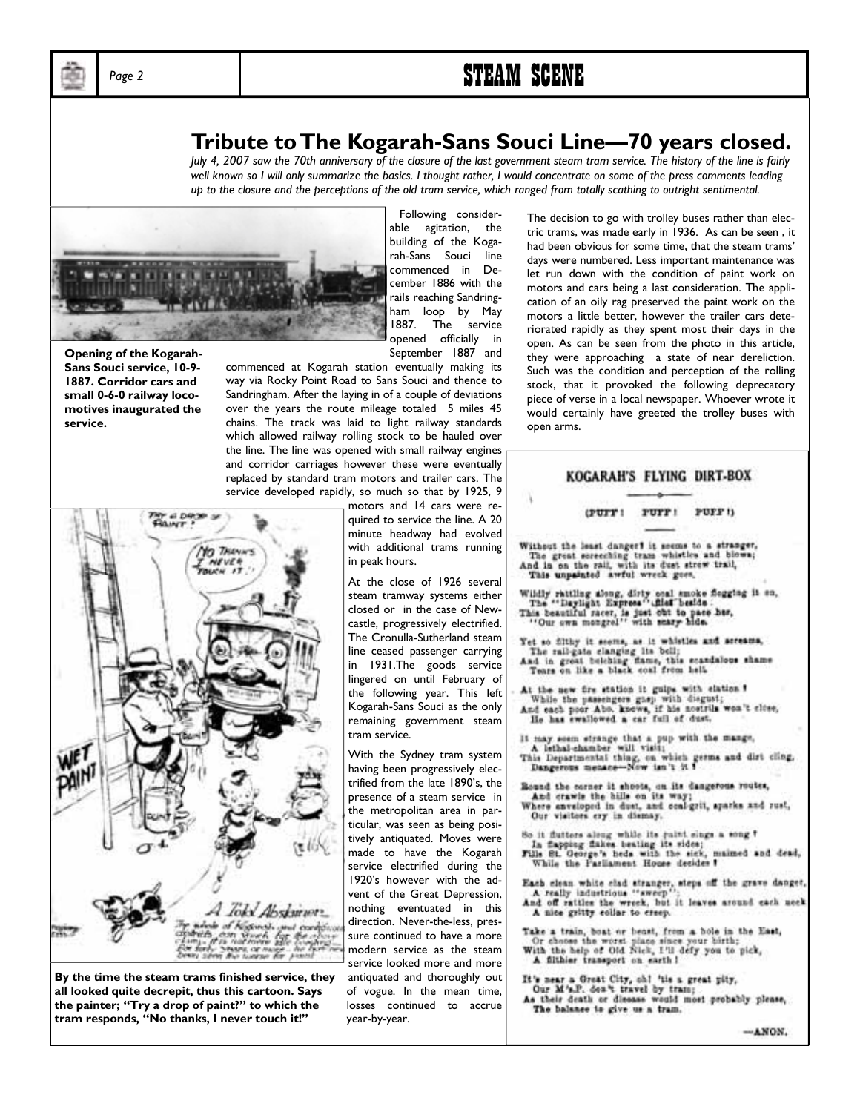## Page 2 **STEAM SCENE**

## **Tribute to The Kogarah-Sans Souci Line—70 years closed.**

*July 4, 2007 saw the 70th anniversary of the closure of the last government steam tram service. The history of the line is fairly well known so I will only summarize the basics. I thought rather, I would concentrate on some of the press comments leading up to the closure and the perceptions of the old tram service, which ranged from totally scathing to outright sentimental.* 



**Opening of the Kogarah-Sans Souci service, 10-9- 1887. Corridor cars and small 0-6-0 railway locomotives inaugurated the service.** 

 Following considerable agitation, the building of the Kogarah-Sans Souci line commenced in December 1886 with the rails reaching Sandringham loop by May 1887. The service opened officially in September 1887 and

commenced at Kogarah station eventually making its way via Rocky Point Road to Sans Souci and thence to Sandringham. After the laying in of a couple of deviations over the years the route mileage totaled 5 miles 45 chains. The track was laid to light railway standards which allowed railway rolling stock to be hauled over the line. The line was opened with small railway engines and corridor carriages however these were eventually replaced by standard tram motors and trailer cars. The service developed rapidly, so much so that by 1925, 9



**By the time the steam trams finished service, they all looked quite decrepit, thus this cartoon. Says**  the painter; "Try a drop of paint?" to which the tram responds, "No thanks, I never touch it!"

motors and 14 cars were required to service the line. A 20 minute headway had evolved with additional trams running in peak hours.

At the close of 1926 several steam tramway systems either closed or in the case of Newcastle, progressively electrified. The Cronulla-Sutherland steam line ceased passenger carrying in 1931.The goods service lingered on until February of the following year. This left Kogarah-Sans Souci as the only remaining government steam tram service.

With the Sydney tram system having been progressively electrified from the late 1890's, the presence of a steam service in the metropolitan area in particular, was seen as being positively antiquated. Moves were made to have the Kogarah service electrified during the 1920's however with the advent of the Great Depression, nothing eventuated in this direction. Never-the-less, pressure continued to have a more modern service as the steam service looked more and more antiquated and thoroughly out of vogue. In the mean time, losses continued to accrue year-by-year.

The decision to go with trolley buses rather than electric trams, was made early in 1936. As can be seen , it had been obvious for some time, that the steam trams' days were numbered. Less important maintenance was let run down with the condition of paint work on motors and cars being a last consideration. The application of an oily rag preserved the paint work on the motors a little better, however the trailer cars deteriorated rapidly as they spent most their days in the open. As can be seen from the photo in this article, they were approaching a state of near dereliction. Such was the condition and perception of the rolling stock, that it provoked the following deprecatory piece of verse in a local newspaper. Whoever wrote it would certainly have greeted the trolley buses with open arms.

|                                                                                                                                                                                            | KOGARAH'S FLYING DIRT-BOX                                                                                                                                                                   |                     |                                                                                                                  |  |
|--------------------------------------------------------------------------------------------------------------------------------------------------------------------------------------------|---------------------------------------------------------------------------------------------------------------------------------------------------------------------------------------------|---------------------|------------------------------------------------------------------------------------------------------------------|--|
|                                                                                                                                                                                            |                                                                                                                                                                                             |                     |                                                                                                                  |  |
|                                                                                                                                                                                            |                                                                                                                                                                                             | (FUIT! FUIT! FUIT!) |                                                                                                                  |  |
|                                                                                                                                                                                            | And in on the rail, with its dust strew trail,<br>This unpainted awful wreck goes,                                                                                                          |                     | Without the least danger? it seems to a stranger,<br>The great screeching tram whistles and blows;               |  |
|                                                                                                                                                                                            | The "Daylight Express" files beside :<br>This beautiful racer, is just out to pace her,<br>"Our own mongrel" with seary hide.                                                               |                     | Wildly rattling along, dirty onal smoke flogging it on,                                                          |  |
|                                                                                                                                                                                            | The rail-gate clanging its bell;<br>Tears on like a black coal from hell.                                                                                                                   |                     | Yet so filthy it seems, as it whistles and acreams.<br>And in great belehing flame, this scandalous shame        |  |
|                                                                                                                                                                                            | At the new fire station it guips with elation ?<br>While the passengers gasp with disgust;<br>He has ewallowed a car full of dust.                                                          |                     | And each poor Abo. knows, if his nostrils won't close,                                                           |  |
|                                                                                                                                                                                            | A lethal-chamber will visit;<br>Dangerous menace-Now isn't it ?                                                                                                                             |                     | It may seem strange that a pup with the mange,<br>This Departmental thing, on which germs and dirt cling,        |  |
|                                                                                                                                                                                            | And crawls the hills on its way;<br>Our visitors ery in dismay.                                                                                                                             |                     | Round the corner it shoots, on its dangerous routes,<br>Where enveloped in dust, and coal-grit, aparks and rust, |  |
|                                                                                                                                                                                            | In flapping flakes beating its sides;<br>While the Parliament House decides #                                                                                                               |                     | So it flutters along while its paint sings a song ?<br>Fills St. George's heds with the sick, maimed and dead,   |  |
| Each clean white clad stranger, steps off the grave danger<br>A really industrious "sweep";<br>And off rattles the wreck, but it leaves around each uccl<br>A nice gritty collar to creep. |                                                                                                                                                                                             |                     |                                                                                                                  |  |
|                                                                                                                                                                                            | Take a train, boat or beast, from a bole in the East,<br>Or choose the worst place since your birth;<br>With the help of Old Nick, I'll defy you to pick,<br>A fithier transport on earth ! |                     |                                                                                                                  |  |
|                                                                                                                                                                                            | It's near a Great City, shi 'tis a great pity.<br>Our M's.P. dea't travel by tram;<br>The balance to give us a tram.                                                                        |                     | As their death or diesass would most probably please,                                                            |  |

 $-MNON$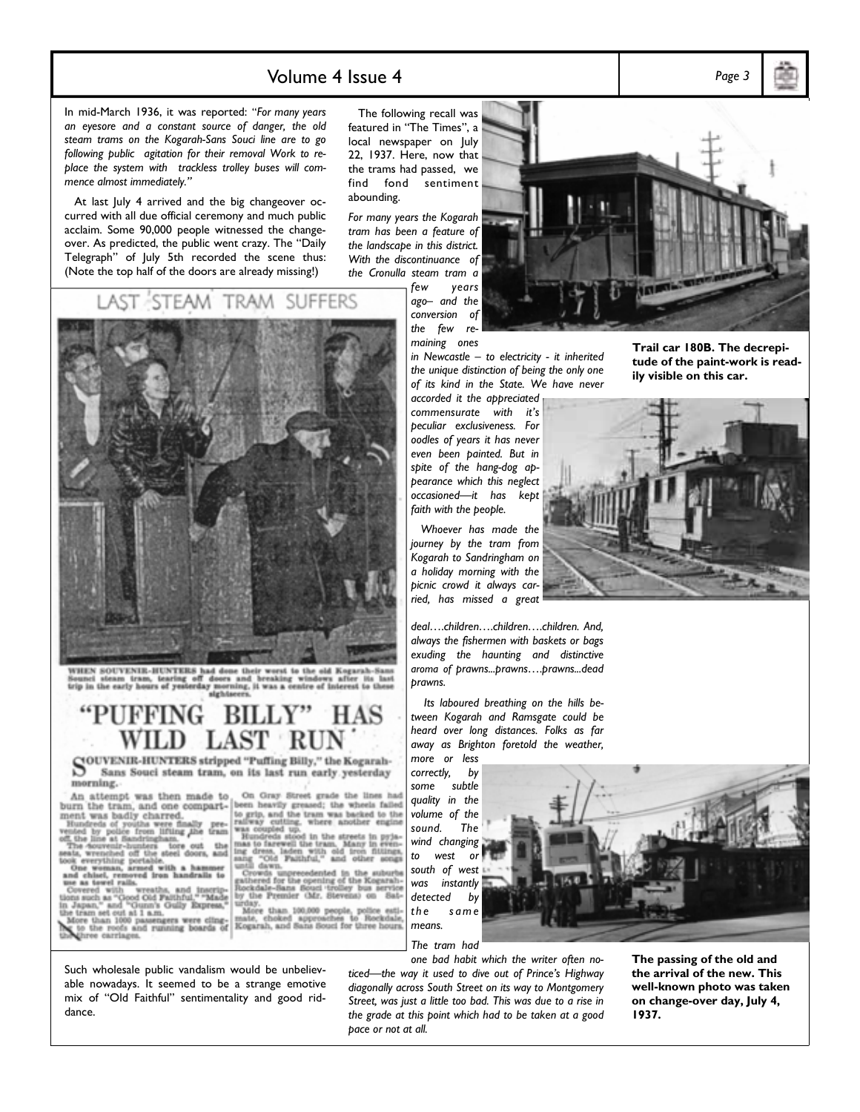### Volume 4 Issue 4 *Page 3*

In mid-March 1936, it was reported: "For many years *an eyesore and a constant source of danger, the old steam trams on the Kogarah-Sans Souci line are to go following public agitation for their removal Work to replace the system with trackless trolley buses will com*mence almost immediately."

 At last July 4 arrived and the big changeover occurred with all due official ceremony and much public acclaim. Some 90,000 people witnessed the changeover. As predicted, the public went crazy. The "Daily Telegraph" of July 5th recorded the scene thus: (Note the top half of the doors are already missing!)

STEAM TRAM SUFFERS

The following recall was featured in "The Times", a local newspaper on July 22, 1937. Here, now that the trams had passed, we find fond sentiment abounding.

*For many years the Kogarah tram has been a feature of the landscape in this district. With the discontinuance of the Cronulla steam tram a* 

*few years*   $ago-$  and the *conversion of the few remaining ones* 

*in Newcastle - to electricity - it inherited the unique distinction of being the only one of its kind in the State. We have never* 

*accorded it the appreciated commensurate with itís peculiar exclusiveness. For oodles of years it has never even been painted. But in spite of the hang-dog appearance which this neglect*  occasioned-it has kept *faith with the people.* 

 *Whoever has made the journey by the tram from Kogarah to Sandringham on a holiday morning with the picnic crowd it always carried, has missed a great* 

deal....children....children....children. And, *always the fishermen with baskets or bags exuding the haunting and distinctive*  aroma of prawns...prawns....prawns...dead *prawns.* 

*correctly, by some subtle quality in the volume of the sound. The wind changing to west or south of west was instantly detected by t h e s a m e means.* 

*The tram had* 

ticed-the way it used to dive out of Prince's Highway *diagonally across South Street on its way to Montgomery Street, was just a little too bad. This was due to a rise in the grade at this point which had to be taken at a good pace or not at all.* 

**Trail car 180B. The decrepi-**

**tude of the paint-work is readily visible on this car.** 





WHEN SOUVENIR-HUNTERS had done their worst to the old Kogarah<br>Sounci steam tram, tearing off doors and breaking windows after it<br>trip in the early hours of yesterday morning, it was a centre of interest to orning, it was a centre of interest to these

#### **FFING** BILI HAS

WILLD LIADI RUIN<br>SOUVENIR-HUNTERS stripped "Puffing Billy," the Kogarah-<br>S Sans Souci steam tram, on its last run early yesterday Sans Souci steam tram, on its last run early yesterday morning.

An attempt was then made to burn the tram, and one compart-<br>ment was badly charred.

was badly c<br>eds of youths<br>by police from<br>line at Sandri us w  $\overline{a}$ were finally pre-<br>Ilfling the tram<br>pham.

Accovenir-hunters tore out the wrenched off the steel doors, and<br>everything portable.<br>e woman, armed with a hammer

chisel, res oved iron handralls to as towel rails.

ver visit) wreaths, and inscrip-<br>sch as "Good Cid Palthful." "Made<br>an," and "Gunn's Gully Express,"<br>m set out at 1 a.m.

superate and "Guatan's Guaty Express,"<br>Iram set out at 1 a.m.<br>Lore than 1000 passengers were cling-<br>to the roofs and running boards of

been heavily greased; the wheels failed to grip, and the tram was backed to the was coupled up.<br>was coupled up.<br>Was coupled up.<br>Hundreds stood in the streets in pyja-

tendersted

On Gray Street grade the lines had

rwds unp<br>rred for U<br>dale-flam the Premier (Mr. Stevens) rday.<br>More than 100,000 people, police<br>ate, choked approaches to Rock

mate, choked approaches to Rockdale<br>Kogarah, and Sans Souci for three hours



 *Its laboured breathing on the hills between Kogarah and Ramsgate could be heard over long distances. Folks as far away as Brighton foretold the weather, more or less* 

*one bad habit which the writer often no-***The passing of the old and the arrival of the new. This well-known photo was taken** 

**1937.** 

**on change-over day, July 4,** 

Such wholesale public vandalism would be unbelievable nowadays. It seemed to be a strange emotive mix of "Old Faithful" sentimentality and good riddance.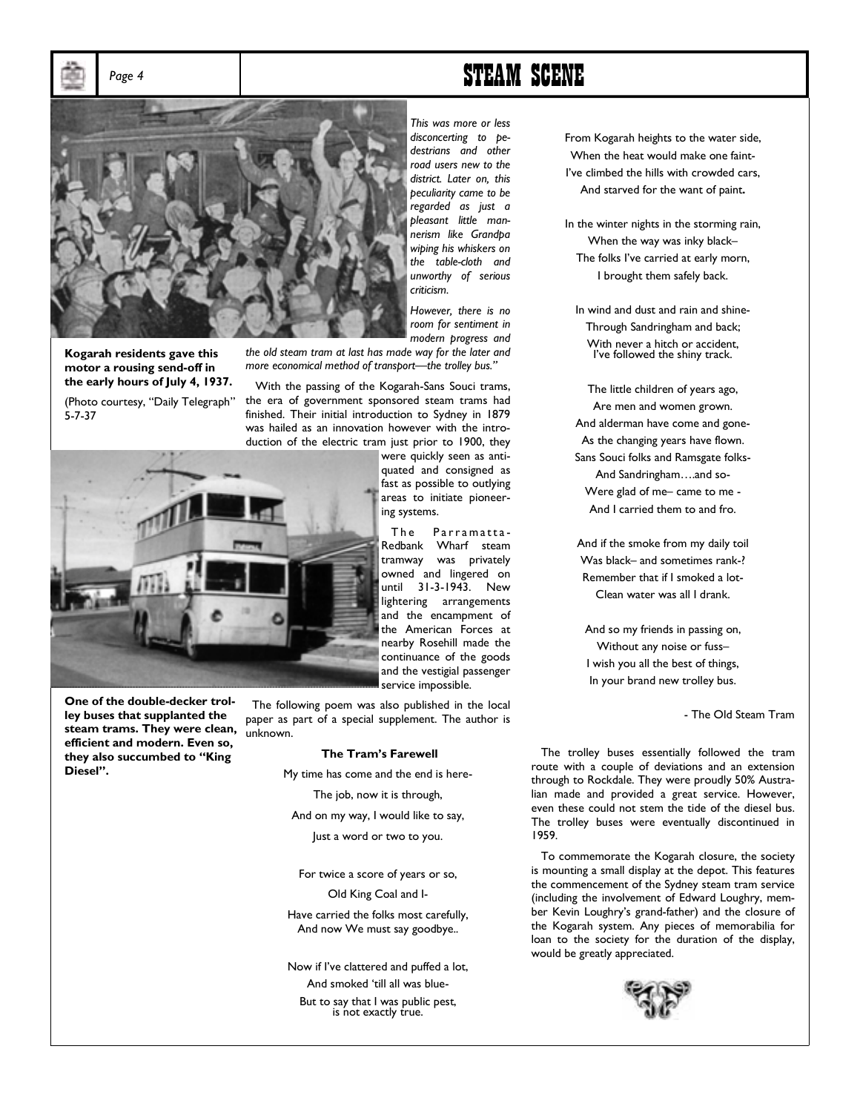Page 4 **STEAM SCENE** 



**Kogarah residents gave this motor a rousing send-off in the early hours of July 4, 1937.** 

(Photo courtesy, "Daily Telegraph" 5-7-37



*This was more or less disconcerting to pedestrians and other road users new to the district. Later on, this peculiarity came to be regarded as just a pleasant little mannerism like Grandpa wiping his whiskers on the table-cloth and unworthy of serious criticism.* 

*However, there is no room for sentiment in modern progress and* 

*the old steam tram at last has made way for the later and more economical method of transport—the trolley bus.*"

 With the passing of the Kogarah-Sans Souci trams, the era of government sponsored steam trams had finished. Their initial introduction to Sydney in 1879 was hailed as an innovation however with the introduction of the electric tram just prior to 1900, they

> were quickly seen as antiquated and consigned as fast as possible to outlying areas to initiate pioneering systems.

> The Parramatta-Redbank Wharf steam tramway was privately owned and lingered on until 31-3-1943. New lightering arrangements and the encampment of the American Forces at nearby Rosehill made the continuance of the goods and the vestigial passenger service impossible.

 The following poem was also published in the local paper as part of a special supplement. The author is unknown.

#### **The Tramís Farewell**

My time has come and the end is here-The job, now it is through,

And on my way, I would like to say,

Just a word or two to you.

For twice a score of years or so, Old King Coal and I-

Have carried the folks most carefully, And now We must say goodbye..

Now if I've clattered and puffed a lot, And smoked 'till all was blue-But to say that I was public pest,<br>is not exactly true.

From Kogarah heights to the water side, When the heat would make one faint-I've climbed the hills with crowded cars, And starved for the want of paint**.** 

In the winter nights in the storming rain, When the way was inky black-The folks I've carried at early morn, I brought them safely back.

In wind and dust and rain and shine-Through Sandringham and back; With never a hitch or accident, I've followed the shiny track.

The little children of years ago, Are men and women grown. And alderman have come and gone-As the changing years have flown. Sans Souci folks and Ramsgate folks-And Sandringham....and so-Were glad of me- came to me -And I carried them to and fro.

And if the smoke from my daily toil Was black- and sometimes rank-? Remember that if I smoked a lot-Clean water was all I drank.

And so my friends in passing on, Without any noise or fuss-I wish you all the best of things, In your brand new trolley bus.

- The Old Steam Tram

 The trolley buses essentially followed the tram route with a couple of deviations and an extension through to Rockdale. They were proudly 50% Australian made and provided a great service. However, even these could not stem the tide of the diesel bus. The trolley buses were eventually discontinued in 1959.

 To commemorate the Kogarah closure, the society is mounting a small display at the depot. This features the commencement of the Sydney steam tram service (including the involvement of Edward Loughry, member Kevin Loughryís grand-father) and the closure of the Kogarah system. Any pieces of memorabilia for loan to the society for the duration of the display, would be greatly appreciated.



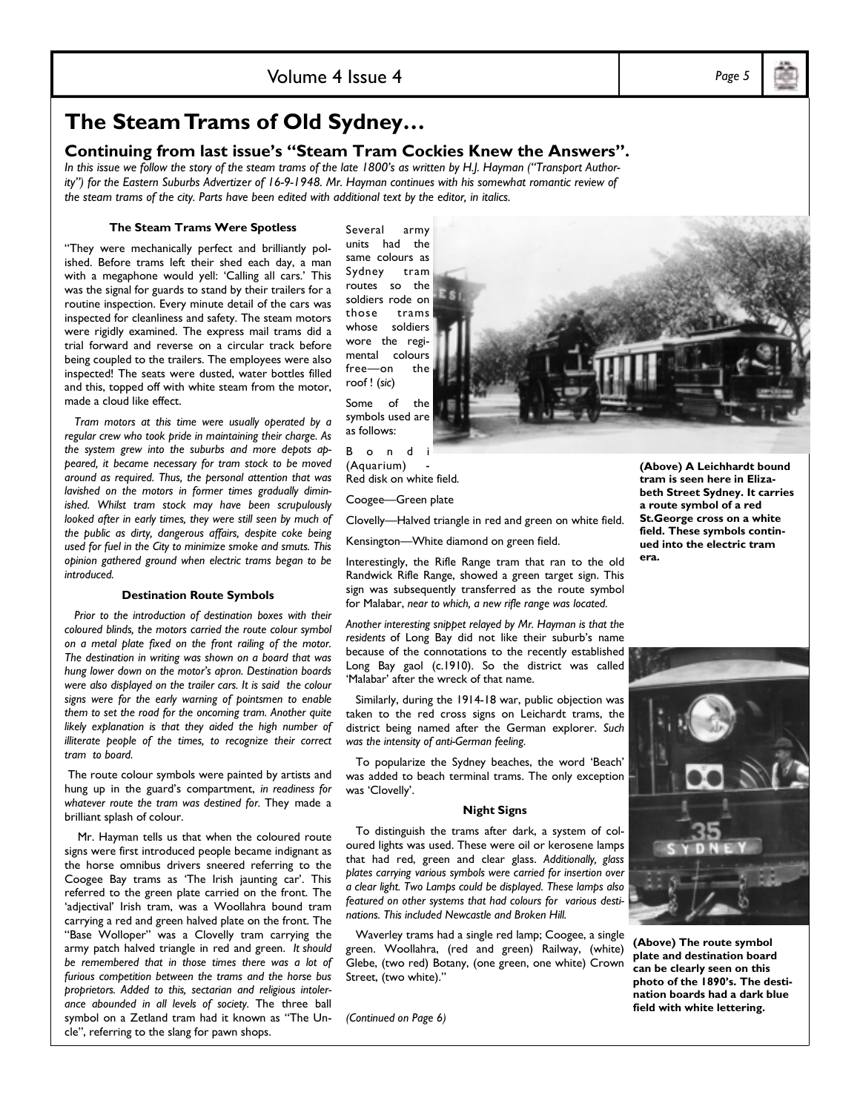## **The Steam Trams of Old Sydney...**

#### **Continuing from last issue's "Steam Tram Cockies Knew the Answers".**

In this issue we follow the story of the steam trams of the late 1800's as written by H.J. Hayman ("Transport Author*ity*") for the Eastern Suburbs Advertizer of 16-9-1948. Mr. Hayman continues with his somewhat romantic review of *the steam trams of the city. Parts have been edited with additional text by the editor, in italics.*

#### **The Steam Trams Were Spotless**

"They were mechanically perfect and brilliantly polished. Before trams left their shed each day, a man with a megaphone would yell: 'Calling all cars.' This was the signal for guards to stand by their trailers for a routine inspection. Every minute detail of the cars was inspected for cleanliness and safety. The steam motors were rigidly examined. The express mail trams did a trial forward and reverse on a circular track before being coupled to the trailers. The employees were also inspected! The seats were dusted, water bottles filled and this, topped off with white steam from the motor, made a cloud like effect.

 *Tram motors at this time were usually operated by a regular crew who took pride in maintaining their charge. As the system grew into the suburbs and more depots appeared, it became necessary for tram stock to be moved around as required. Thus, the personal attention that was lavished on the motors in former times gradually diminished. Whilst tram stock may have been scrupulously looked after in early times, they were still seen by much of the public as dirty, dangerous affairs, despite coke being used for fuel in the City to minimize smoke and smuts. This opinion gathered ground when electric trams began to be introduced.* 

#### **Destination Route Symbols**

 *Prior to the introduction of destination boxes with their coloured blinds, the motors carried the route colour symbol on a metal plate fixed on the front railing of the motor. The destination in writing was shown on a board that was hung lower down on the motorís apron. Destination boards were also displayed on the trailer cars. It is said the colour signs were for the early warning of pointsmen to enable them to set the road for the oncoming tram. Another quite likely explanation is that they aided the high number of illiterate people of the times, to recognize their correct tram to board.* 

The route colour symbols were painted by artists and hung up in the guard's compartment, *in readiness for whatever route the tram was destined for.* They made a brilliant splash of colour.

Mr. Hayman tells us that when the coloured route signs were first introduced people became indignant as the horse omnibus drivers sneered referring to the Coogee Bay trams as 'The Irish jaunting car'. This referred to the green plate carried on the front. The 'adjectival' Irish tram, was a Woollahra bound tram carrying a red and green halved plate on the front. The "Base Wolloper" was a Clovelly tram carrying the army patch halved triangle in red and green. *It should be remembered that in those times there was a lot of furious competition between the trams and the horse bus proprietors. Added to this, sectarian and religious intolerance abounded in all levels of society.* The three ball symbol on a Zetland tram had it known as "The Uncle", referring to the slang for pawn shops.

Several army units had the same colours as Sydney tram routes so the soldiers rode on those trams whose soldiers wore the regimental colours free-on the roof ! (*sic*)

Some of the symbols used are as follows:

B o n d (Aquarium) - Red disk on white field.

Coogee-Green plate

Clovelly-Halved triangle in red and green on white field.

Kensington-White diamond on green field.

Interestingly, the Rifle Range tram that ran to the old Randwick Rifle Range, showed a green target sign. This sign was subsequently transferred as the route symbol for Malabar, *near to which, a new rifle range was located.* 

*Another interesting snippet relayed by Mr. Hayman is that the*  residents of Long Bay did not like their suburb's name because of the connotations to the recently established Long Bay gaol (c.1910). So the district was called 'Malabar' after the wreck of that name.

 Similarly, during the 1914-18 war, public objection was taken to the red cross signs on Leichardt trams, the district being named after the German explorer. *Such was the intensity of anti-German feeling.* 

To popularize the Sydney beaches, the word 'Beach' was added to beach terminal trams. The only exception was 'Clovelly'.

#### **Night Signs**

 To distinguish the trams after dark, a system of coloured lights was used. These were oil or kerosene lamps that had red, green and clear glass. *Additionally, glass plates carrying various symbols were carried for insertion over a clear light. Two Lamps could be displayed. These lamps also featured on other systems that had colours for various destinations. This included Newcastle and Broken Hill.* 

Waverley trams had a single red lamp; Coogee, a single green. Woollahra, (red and green) Railway, (white) Glebe, (two red) Botany, (one green, one white) Crown Street, (two white)."

*(Continued on Page 6)* 



**era.** 



**(Above) The route symbol plate and destination board can be clearly seen on this**  photo of the 1890's. The desti**nation boards had a dark blue field with white lettering.** 

Volume 4 Issue 4 *Page 5*